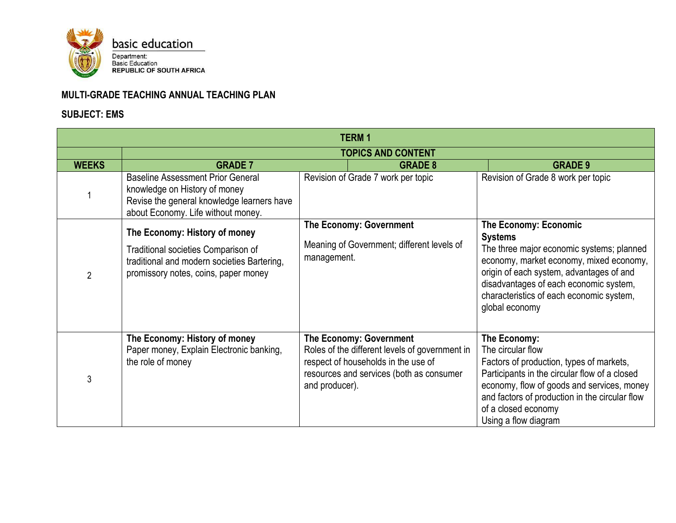

| <b>TERM1</b>   |                                                                                                                                                               |                |                                                                                                                                                                     |                                                                                                                                                                                                                                                                                            |  |
|----------------|---------------------------------------------------------------------------------------------------------------------------------------------------------------|----------------|---------------------------------------------------------------------------------------------------------------------------------------------------------------------|--------------------------------------------------------------------------------------------------------------------------------------------------------------------------------------------------------------------------------------------------------------------------------------------|--|
|                | <b>TOPICS AND CONTENT</b>                                                                                                                                     |                |                                                                                                                                                                     |                                                                                                                                                                                                                                                                                            |  |
| <b>WEEKS</b>   | <b>GRADE 7</b>                                                                                                                                                |                | <b>GRADE 8</b>                                                                                                                                                      | <b>GRADE 9</b>                                                                                                                                                                                                                                                                             |  |
|                | <b>Baseline Assessment Prior General</b><br>knowledge on History of money<br>Revise the general knowledge learners have<br>about Economy. Life without money. |                | Revision of Grade 7 work per topic                                                                                                                                  | Revision of Grade 8 work per topic                                                                                                                                                                                                                                                         |  |
| $\overline{2}$ | The Economy: History of money<br>Traditional societies Comparison of<br>traditional and modern societies Bartering,<br>promissory notes, coins, paper money   | management.    | The Economy: Government<br>Meaning of Government; different levels of                                                                                               | <b>The Economy: Economic</b><br><b>Systems</b><br>The three major economic systems; planned<br>economy, market economy, mixed economy,<br>origin of each system, advantages of and<br>disadvantages of each economic system,<br>characteristics of each economic system,<br>global economy |  |
| 3              | The Economy: History of money<br>Paper money, Explain Electronic banking,<br>the role of money                                                                | and producer). | <b>The Economy: Government</b><br>Roles of the different levels of government in<br>respect of households in the use of<br>resources and services (both as consumer | The Economy:<br>The circular flow<br>Factors of production, types of markets,<br>Participants in the circular flow of a closed<br>economy, flow of goods and services, money<br>and factors of production in the circular flow<br>of a closed economy<br>Using a flow diagram              |  |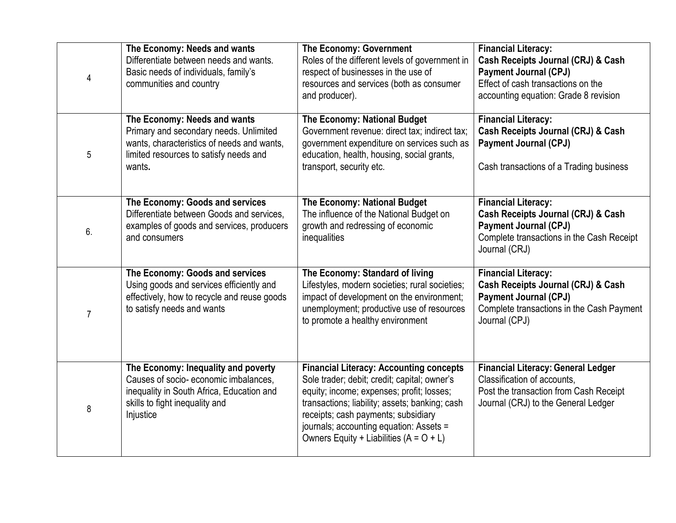| 4              | The Economy: Needs and wants<br>Differentiate between needs and wants.<br>Basic needs of individuals, family's<br>communities and country                                | <b>The Economy: Government</b><br>Roles of the different levels of government in<br>respect of businesses in the use of<br>resources and services (both as consumer<br>and producer).                                                                                                                                        | <b>Financial Literacy:</b><br>Cash Receipts Journal (CRJ) & Cash<br><b>Payment Journal (CPJ)</b><br>Effect of cash transactions on the<br>accounting equation: Grade 8 revision |
|----------------|--------------------------------------------------------------------------------------------------------------------------------------------------------------------------|------------------------------------------------------------------------------------------------------------------------------------------------------------------------------------------------------------------------------------------------------------------------------------------------------------------------------|---------------------------------------------------------------------------------------------------------------------------------------------------------------------------------|
| 5              | The Economy: Needs and wants<br>Primary and secondary needs. Unlimited<br>wants, characteristics of needs and wants,<br>limited resources to satisfy needs and<br>wants. | The Economy: National Budget<br>Government revenue: direct tax; indirect tax;<br>government expenditure on services such as<br>education, health, housing, social grants,<br>transport, security etc.                                                                                                                        | <b>Financial Literacy:</b><br>Cash Receipts Journal (CRJ) & Cash<br><b>Payment Journal (CPJ)</b><br>Cash transactions of a Trading business                                     |
| 6.             | The Economy: Goods and services<br>Differentiate between Goods and services,<br>examples of goods and services, producers<br>and consumers                               | The Economy: National Budget<br>The influence of the National Budget on<br>growth and redressing of economic<br>inequalities                                                                                                                                                                                                 | <b>Financial Literacy:</b><br>Cash Receipts Journal (CRJ) & Cash<br><b>Payment Journal (CPJ)</b><br>Complete transactions in the Cash Receipt<br>Journal (CRJ)                  |
| $\overline{7}$ | The Economy: Goods and services<br>Using goods and services efficiently and<br>effectively, how to recycle and reuse goods<br>to satisfy needs and wants                 | The Economy: Standard of living<br>Lifestyles, modern societies; rural societies;<br>impact of development on the environment;<br>unemployment; productive use of resources<br>to promote a healthy environment                                                                                                              | <b>Financial Literacy:</b><br>Cash Receipts Journal (CRJ) & Cash<br><b>Payment Journal (CPJ)</b><br>Complete transactions in the Cash Payment<br>Journal (CPJ)                  |
| 8              | The Economy: Inequality and poverty<br>Causes of socio-economic imbalances.<br>inequality in South Africa, Education and<br>skills to fight inequality and<br>Injustice  | <b>Financial Literacy: Accounting concepts</b><br>Sole trader; debit; credit; capital; owner's<br>equity; income; expenses; profit; losses;<br>transactions; liability; assets; banking; cash<br>receipts; cash payments; subsidiary<br>journals; accounting equation: Assets =<br>Owners Equity + Liabilities $(A = O + L)$ | <b>Financial Literacy: General Ledger</b><br>Classification of accounts.<br>Post the transaction from Cash Receipt<br>Journal (CRJ) to the General Ledger                       |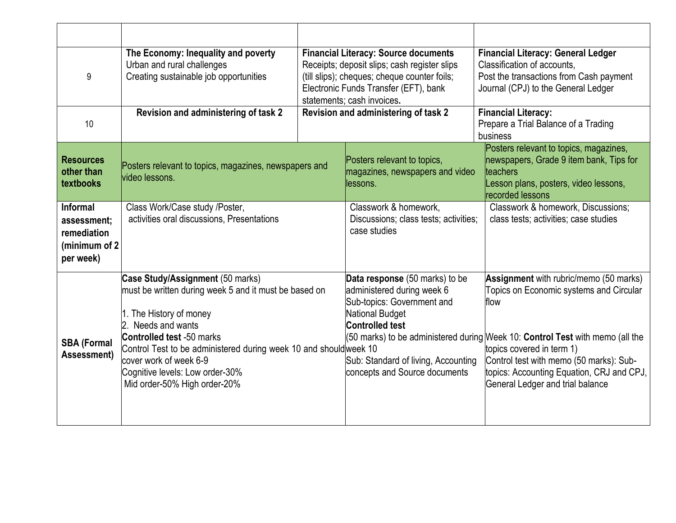| 9                                                                           | The Economy: Inequality and poverty<br>Urban and rural challenges<br>Creating sustainable job opportunities                                                                                                                                                                                                                                  | <b>Financial Literacy: Source documents</b><br>Receipts; deposit slips; cash register slips<br>(till slips); cheques; cheque counter foils;<br>Electronic Funds Transfer (EFT), bank<br>statements; cash invoices.     | <b>Financial Literacy: General Ledger</b><br>Classification of accounts,<br>Post the transactions from Cash payment<br>Journal (CPJ) to the General Ledger                                                                                                                                                                          |
|-----------------------------------------------------------------------------|----------------------------------------------------------------------------------------------------------------------------------------------------------------------------------------------------------------------------------------------------------------------------------------------------------------------------------------------|------------------------------------------------------------------------------------------------------------------------------------------------------------------------------------------------------------------------|-------------------------------------------------------------------------------------------------------------------------------------------------------------------------------------------------------------------------------------------------------------------------------------------------------------------------------------|
| 10                                                                          | Revision and administering of task 2                                                                                                                                                                                                                                                                                                         | Revision and administering of task 2                                                                                                                                                                                   | <b>Financial Literacy:</b><br>Prepare a Trial Balance of a Trading<br>business                                                                                                                                                                                                                                                      |
| <b>Resources</b><br>other than<br>textbooks                                 | Posters relevant to topics, magazines, newspapers and<br>video lessons.                                                                                                                                                                                                                                                                      | Posters relevant to topics,<br>magazines, newspapers and video<br>llessons.                                                                                                                                            | Posters relevant to topics, magazines,<br>newspapers, Grade 9 item bank, Tips for<br>teachers<br>Lesson plans, posters, video lessons,<br>recorded lessons                                                                                                                                                                          |
| <b>Informal</b><br>assessment:<br>remediation<br>(minimum of 2<br>per week) | Class Work/Case study /Poster,<br>activities oral discussions, Presentations                                                                                                                                                                                                                                                                 | Classwork & homework,<br>Discussions; class tests; activities;<br>case studies                                                                                                                                         | Classwork & homework, Discussions;<br>class tests; activities; case studies                                                                                                                                                                                                                                                         |
| <b>SBA (Formal</b><br>Assessment)                                           | Case Study/Assignment (50 marks)<br>must be written during week 5 and it must be based on<br>1. The History of money<br>Needs and wants<br><b>Controlled test -50 marks</b><br>Control Test to be administered during week 10 and shouldweek 10<br>cover work of week 6-9<br>Cognitive levels: Low order-30%<br>Mid order-50% High order-20% | Data response (50 marks) to be<br>administered during week 6<br>Sub-topics: Government and<br><b>National Budget</b><br><b>Controlled test</b><br>Sub: Standard of living, Accounting<br>concepts and Source documents | Assignment with rubric/memo (50 marks)<br>Topics on Economic systems and Circular<br>flow<br>(50 marks) to be administered during Week 10: Control Test with memo (all the<br>topics covered in term 1)<br>Control test with memo (50 marks): Sub-<br>topics: Accounting Equation, CRJ and CPJ,<br>General Ledger and trial balance |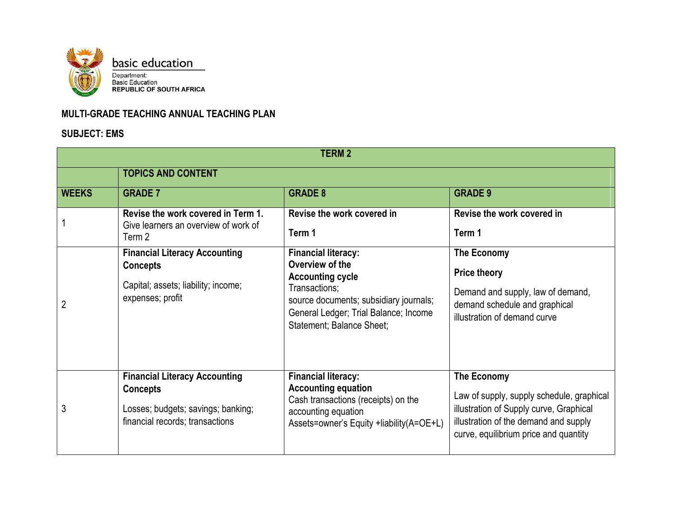

| <b>TERM2</b> |                                                                                                                                  |                                                                                                                                                                                                           |                                                                                                                                                                                       |  |  |
|--------------|----------------------------------------------------------------------------------------------------------------------------------|-----------------------------------------------------------------------------------------------------------------------------------------------------------------------------------------------------------|---------------------------------------------------------------------------------------------------------------------------------------------------------------------------------------|--|--|
|              | <b>TOPICS AND CONTENT</b>                                                                                                        |                                                                                                                                                                                                           |                                                                                                                                                                                       |  |  |
| <b>WEEKS</b> | <b>GRADE 7</b>                                                                                                                   | <b>GRADE 8</b>                                                                                                                                                                                            | <b>GRADE 9</b>                                                                                                                                                                        |  |  |
|              | Revise the work covered in Term 1.<br>Give learners an overview of work of<br>Term 2                                             | Revise the work covered in<br>Term 1                                                                                                                                                                      | Revise the work covered in<br>Term 1                                                                                                                                                  |  |  |
| 2            | <b>Financial Literacy Accounting</b><br><b>Concepts</b><br>Capital; assets; liability; income;<br>expenses; profit               | <b>Financial literacy:</b><br>Overview of the<br><b>Accounting cycle</b><br>Transactions;<br>source documents; subsidiary journals;<br>General Ledger; Trial Balance; Income<br>Statement; Balance Sheet; | The Economy<br><b>Price theory</b><br>Demand and supply, law of demand,<br>demand schedule and graphical<br>illustration of demand curve                                              |  |  |
| 3            | <b>Financial Literacy Accounting</b><br><b>Concepts</b><br>Losses; budgets; savings; banking;<br>financial records; transactions | <b>Financial literacy:</b><br><b>Accounting equation</b><br>Cash transactions (receipts) on the<br>accounting equation<br>Assets=owner's Equity +liability(A=OE+L)                                        | The Economy<br>Law of supply, supply schedule, graphical<br>illustration of Supply curve, Graphical<br>illustration of the demand and supply<br>curve, equilibrium price and quantity |  |  |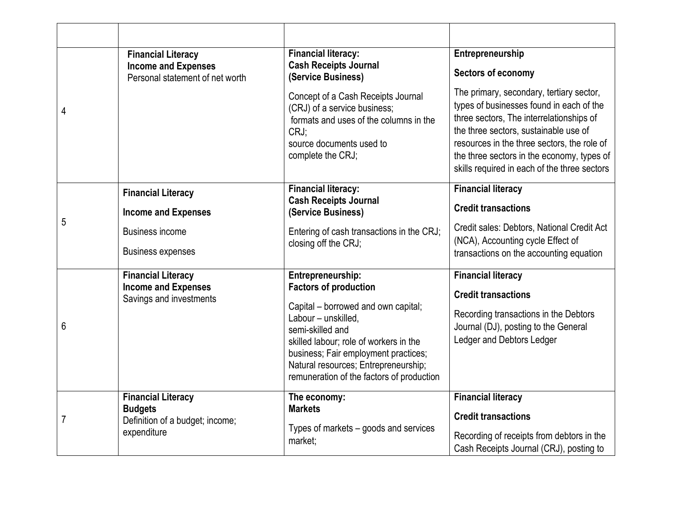|   | <b>Financial Literacy</b><br><b>Income and Expenses</b> | <b>Financial literacy:</b><br><b>Cash Receipts Journal</b>                                                                                                            | Entrepreneurship                                                                                                                                                                                                                                                                                                       |
|---|---------------------------------------------------------|-----------------------------------------------------------------------------------------------------------------------------------------------------------------------|------------------------------------------------------------------------------------------------------------------------------------------------------------------------------------------------------------------------------------------------------------------------------------------------------------------------|
|   | Personal statement of net worth                         | (Service Business)                                                                                                                                                    | Sectors of economy                                                                                                                                                                                                                                                                                                     |
| 4 |                                                         | Concept of a Cash Receipts Journal<br>(CRJ) of a service business;<br>formats and uses of the columns in the<br>CRJ:<br>source documents used to<br>complete the CRJ; | The primary, secondary, tertiary sector,<br>types of businesses found in each of the<br>three sectors, The interrelationships of<br>the three sectors, sustainable use of<br>resources in the three sectors, the role of<br>the three sectors in the economy, types of<br>skills required in each of the three sectors |
|   | <b>Financial Literacy</b>                               | <b>Financial literacy:</b>                                                                                                                                            | <b>Financial literacy</b>                                                                                                                                                                                                                                                                                              |
|   | <b>Income and Expenses</b>                              | <b>Cash Receipts Journal</b><br>(Service Business)                                                                                                                    | <b>Credit transactions</b>                                                                                                                                                                                                                                                                                             |
| 5 | <b>Business income</b>                                  | Entering of cash transactions in the CRJ;                                                                                                                             | Credit sales: Debtors, National Credit Act<br>(NCA), Accounting cycle Effect of                                                                                                                                                                                                                                        |
|   | <b>Business expenses</b>                                | closing off the CRJ;                                                                                                                                                  | transactions on the accounting equation                                                                                                                                                                                                                                                                                |
|   | <b>Financial Literacy</b>                               | Entrepreneurship:                                                                                                                                                     | <b>Financial literacy</b>                                                                                                                                                                                                                                                                                              |
|   | <b>Income and Expenses</b><br>Savings and investments   | <b>Factors of production</b>                                                                                                                                          | <b>Credit transactions</b>                                                                                                                                                                                                                                                                                             |
|   |                                                         | Capital – borrowed and own capital;<br>Labour - unskilled,                                                                                                            | Recording transactions in the Debtors                                                                                                                                                                                                                                                                                  |
| 6 |                                                         | semi-skilled and                                                                                                                                                      | Journal (DJ), posting to the General                                                                                                                                                                                                                                                                                   |
|   |                                                         | skilled labour; role of workers in the<br>business; Fair employment practices;                                                                                        | Ledger and Debtors Ledger                                                                                                                                                                                                                                                                                              |
|   |                                                         | Natural resources; Entrepreneurship;<br>remuneration of the factors of production                                                                                     |                                                                                                                                                                                                                                                                                                                        |
|   | <b>Financial Literacy</b>                               | The economy:                                                                                                                                                          | <b>Financial literacy</b>                                                                                                                                                                                                                                                                                              |
| 7 | <b>Budgets</b><br>Definition of a budget; income;       | <b>Markets</b>                                                                                                                                                        | <b>Credit transactions</b>                                                                                                                                                                                                                                                                                             |
|   | expenditure                                             | Types of markets – goods and services<br>market;                                                                                                                      | Recording of receipts from debtors in the                                                                                                                                                                                                                                                                              |
|   |                                                         |                                                                                                                                                                       | Cash Receipts Journal (CRJ), posting to                                                                                                                                                                                                                                                                                |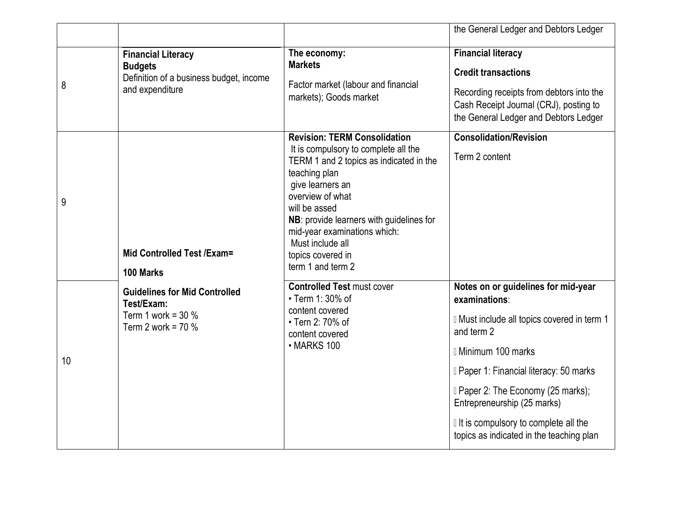|    |                                                                                                           |                                                                                                                                                                                                                                                                                                                                            | the General Ledger and Debtors Ledger                                                                                                                                                                                                                                                                                                                             |
|----|-----------------------------------------------------------------------------------------------------------|--------------------------------------------------------------------------------------------------------------------------------------------------------------------------------------------------------------------------------------------------------------------------------------------------------------------------------------------|-------------------------------------------------------------------------------------------------------------------------------------------------------------------------------------------------------------------------------------------------------------------------------------------------------------------------------------------------------------------|
| 8  | <b>Financial Literacy</b><br><b>Budgets</b><br>Definition of a business budget, income<br>and expenditure | The economy:<br><b>Markets</b><br>Factor market (labour and financial<br>markets); Goods market                                                                                                                                                                                                                                            | <b>Financial literacy</b><br><b>Credit transactions</b><br>Recording receipts from debtors into the<br>Cash Receipt Journal (CRJ), posting to<br>the General Ledger and Debtors Ledger                                                                                                                                                                            |
| 9  | Mid Controlled Test / Exam=<br>100 Marks                                                                  | <b>Revision: TERM Consolidation</b><br>It is compulsory to complete all the<br>TERM 1 and 2 topics as indicated in the<br>teaching plan<br>give learners an<br>overview of what<br>will be assed<br>NB: provide learners with guidelines for<br>mid-year examinations which:<br>Must include all<br>topics covered in<br>term 1 and term 2 | <b>Consolidation/Revision</b><br>Term 2 content                                                                                                                                                                                                                                                                                                                   |
| 10 | <b>Guidelines for Mid Controlled</b><br>Test/Exam:<br>Term 1 work = $30\%$<br>Term 2 work = $70\%$        | <b>Controlled Test must cover</b><br>• Term 1: 30% of<br>content covered<br>• Tern 2: 70% of<br>content covered<br>• MARKS 100                                                                                                                                                                                                             | Notes on or guidelines for mid-year<br>examinations:<br>I Must include all topics covered in term 1<br>and term 2<br><b>I</b> Minimum 100 marks<br><b>I</b> Paper 1: Financial literacy: 50 marks<br><b>I</b> Paper 2: The Economy (25 marks);<br>Entrepreneurship (25 marks)<br>If is compulsory to complete all the<br>topics as indicated in the teaching plan |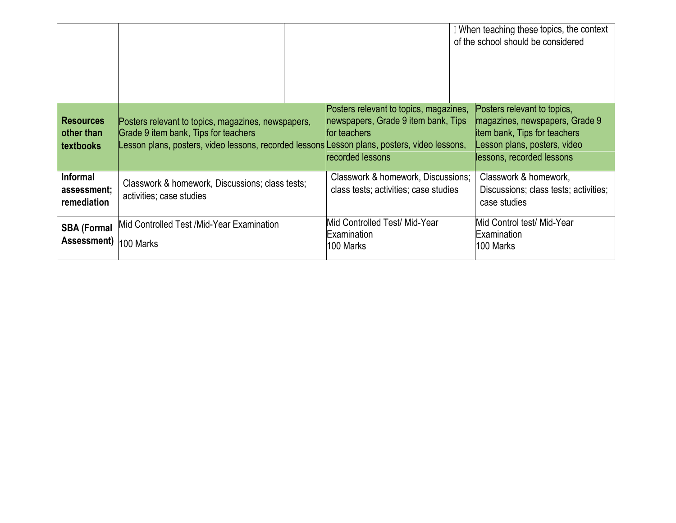|                                                    |                                                                                                                                                                                            |                                                                                                                   | I When teaching these topics, the context<br>of the school should be considered                                                                             |
|----------------------------------------------------|--------------------------------------------------------------------------------------------------------------------------------------------------------------------------------------------|-------------------------------------------------------------------------------------------------------------------|-------------------------------------------------------------------------------------------------------------------------------------------------------------|
| <b>Resources</b><br>other than<br><b>textbooks</b> | Posters relevant to topics, magazines, newspapers,<br>Grade 9 item bank, Tips for teachers<br>Lesson plans, posters, video lessons, recorded lessons Lesson plans, posters, video lessons, | Posters relevant to topics, magazines,<br>newspapers, Grade 9 item bank, Tips<br>for teachers<br>recorded lessons | Posters relevant to topics,<br>magazines, newspapers, Grade 9<br>litem bank, Tips for teachers<br>Lesson plans, posters, video<br>lessons, recorded lessons |
| <b>Informal</b><br>assessment;<br>remediation      | Classwork & homework, Discussions; class tests;<br>activities; case studies                                                                                                                | Classwork & homework, Discussions;<br>class tests; activities; case studies                                       | Classwork & homework,<br>Discussions; class tests; activities;<br>case studies                                                                              |
| <b>SBA (Formal</b><br>Assessment)                  | Mid Controlled Test /Mid-Year Examination<br>100 Marks                                                                                                                                     | Mid Controlled Test/ Mid-Year<br>Examination<br>100 Marks                                                         | Mid Control test/ Mid-Year<br>Examination<br>l100 Marks                                                                                                     |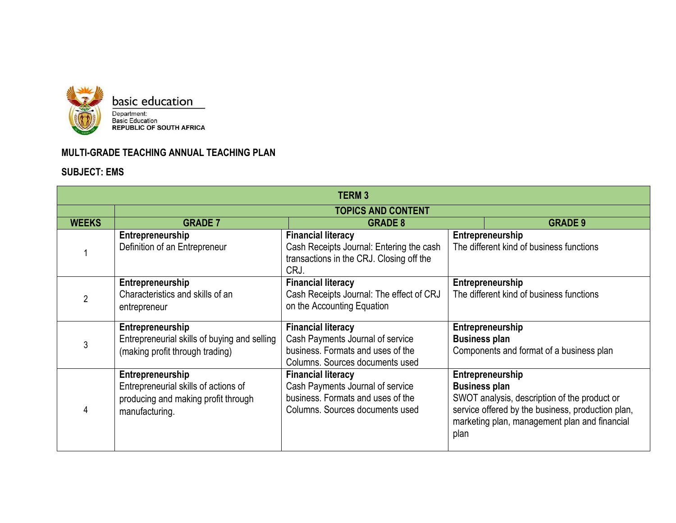

| <b>TERM3</b> |                                                                                                                   |                                                                                                                                       |                              |                                                                                                                                                                        |  |
|--------------|-------------------------------------------------------------------------------------------------------------------|---------------------------------------------------------------------------------------------------------------------------------------|------------------------------|------------------------------------------------------------------------------------------------------------------------------------------------------------------------|--|
|              | <b>TOPICS AND CONTENT</b>                                                                                         |                                                                                                                                       |                              |                                                                                                                                                                        |  |
| <b>WEEKS</b> | <b>GRADE 7</b>                                                                                                    | <b>GRADE 8</b>                                                                                                                        |                              | <b>GRADE 9</b>                                                                                                                                                         |  |
|              | Entrepreneurship<br>Definition of an Entrepreneur                                                                 | <b>Financial literacy</b><br>Cash Receipts Journal: Entering the cash<br>transactions in the CRJ. Closing off the<br>CRJ.             |                              | Entrepreneurship<br>The different kind of business functions                                                                                                           |  |
|              | Entrepreneurship<br>Characteristics and skills of an<br>entrepreneur                                              | <b>Financial literacy</b><br>Cash Receipts Journal: The effect of CRJ<br>on the Accounting Equation                                   |                              | Entrepreneurship<br>The different kind of business functions                                                                                                           |  |
|              | Entrepreneurship<br>Entrepreneurial skills of buying and selling<br>(making profit through trading)               | <b>Financial literacy</b><br>Cash Payments Journal of service<br>business. Formats and uses of the<br>Columns. Sources documents used | <b>Business plan</b>         | Entrepreneurship<br>Components and format of a business plan                                                                                                           |  |
|              | Entrepreneurship<br>Entrepreneurial skills of actions of<br>producing and making profit through<br>manufacturing. | <b>Financial literacy</b><br>Cash Payments Journal of service<br>business. Formats and uses of the<br>Columns. Sources documents used | <b>Business plan</b><br>plan | Entrepreneurship<br>SWOT analysis, description of the product or<br>service offered by the business, production plan,<br>marketing plan, management plan and financial |  |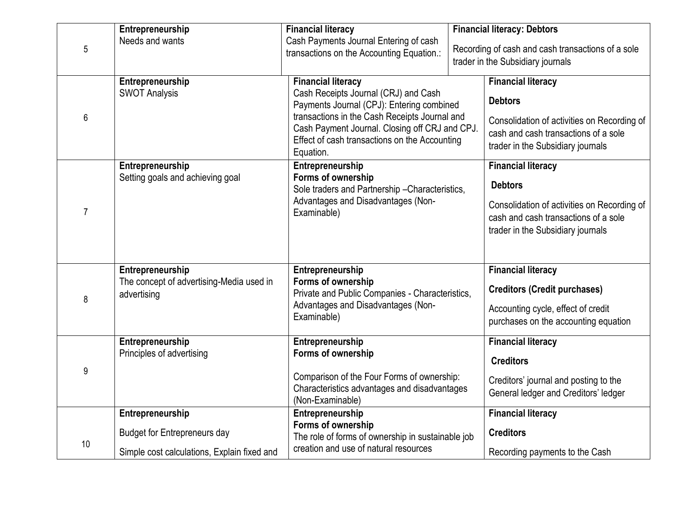|                | Entrepreneurship                                                                                       | <b>Financial literacy</b>                                                                                                                                                                                                                                                       | <b>Financial literacy: Debtors</b>                                                                                                                                      |
|----------------|--------------------------------------------------------------------------------------------------------|---------------------------------------------------------------------------------------------------------------------------------------------------------------------------------------------------------------------------------------------------------------------------------|-------------------------------------------------------------------------------------------------------------------------------------------------------------------------|
| 5              | Needs and wants                                                                                        | Cash Payments Journal Entering of cash<br>transactions on the Accounting Equation.:                                                                                                                                                                                             | Recording of cash and cash transactions of a sole<br>trader in the Subsidiary journals                                                                                  |
| 6              | Entrepreneurship<br><b>SWOT Analysis</b>                                                               | <b>Financial literacy</b><br>Cash Receipts Journal (CRJ) and Cash<br>Payments Journal (CPJ): Entering combined<br>transactions in the Cash Receipts Journal and<br>Cash Payment Journal. Closing off CRJ and CPJ.<br>Effect of cash transactions on the Accounting<br>Equation. | <b>Financial literacy</b><br><b>Debtors</b><br>Consolidation of activities on Recording of<br>cash and cash transactions of a sole<br>trader in the Subsidiary journals |
| $\overline{7}$ | Entrepreneurship<br>Setting goals and achieving goal                                                   | Entrepreneurship<br>Forms of ownership<br>Sole traders and Partnership-Characteristics,<br>Advantages and Disadvantages (Non-<br>Examinable)                                                                                                                                    | <b>Financial literacy</b><br><b>Debtors</b><br>Consolidation of activities on Recording of<br>cash and cash transactions of a sole<br>trader in the Subsidiary journals |
| 8              | Entrepreneurship<br>The concept of advertising-Media used in<br>advertising                            | Entrepreneurship<br>Forms of ownership<br>Private and Public Companies - Characteristics,<br>Advantages and Disadvantages (Non-<br>Examinable)                                                                                                                                  | <b>Financial literacy</b><br><b>Creditors (Credit purchases)</b><br>Accounting cycle, effect of credit<br>purchases on the accounting equation                          |
| 9              | Entrepreneurship<br>Principles of advertising                                                          | Entrepreneurship<br>Forms of ownership<br>Comparison of the Four Forms of ownership:<br>Characteristics advantages and disadvantages<br>(Non-Examinable)                                                                                                                        | <b>Financial literacy</b><br><b>Creditors</b><br>Creditors' journal and posting to the<br>General ledger and Creditors' ledger                                          |
| 10             | Entrepreneurship<br><b>Budget for Entrepreneurs day</b><br>Simple cost calculations, Explain fixed and | Entrepreneurship<br>Forms of ownership<br>The role of forms of ownership in sustainable job<br>creation and use of natural resources                                                                                                                                            | <b>Financial literacy</b><br><b>Creditors</b><br>Recording payments to the Cash                                                                                         |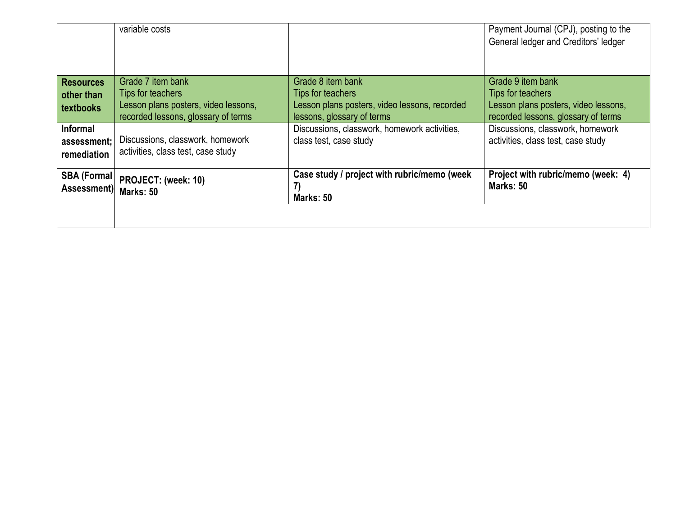|                                               | variable costs                                                              |                                                                             | Payment Journal (CPJ), posting to the<br>General ledger and Creditors' ledger |
|-----------------------------------------------|-----------------------------------------------------------------------------|-----------------------------------------------------------------------------|-------------------------------------------------------------------------------|
| <b>Resources</b>                              | Grade 7 item bank                                                           | Grade 8 item bank                                                           | Grade 9 item bank                                                             |
| other than                                    | Tips for teachers                                                           | Tips for teachers                                                           | Tips for teachers                                                             |
| textbooks                                     | Lesson plans posters, video lessons,<br>recorded lessons, glossary of terms | Lesson plans posters, video lessons, recorded<br>lessons, glossary of terms | Lesson plans posters, video lessons,<br>recorded lessons, glossary of terms   |
| <b>Informal</b><br>assessment;<br>remediation | Discussions, classwork, homework<br>activities, class test, case study      | Discussions, classwork, homework activities,<br>class test, case study      | Discussions, classwork, homework<br>activities, class test, case study        |
| <b>SBA (Formal)</b><br>Assessment)            | PROJECT: (week: 10)<br>Marks: 50                                            | Case study / project with rubric/memo (week<br>7)<br>Marks: 50              | Project with rubric/memo (week: 4)<br>Marks: 50                               |
|                                               |                                                                             |                                                                             |                                                                               |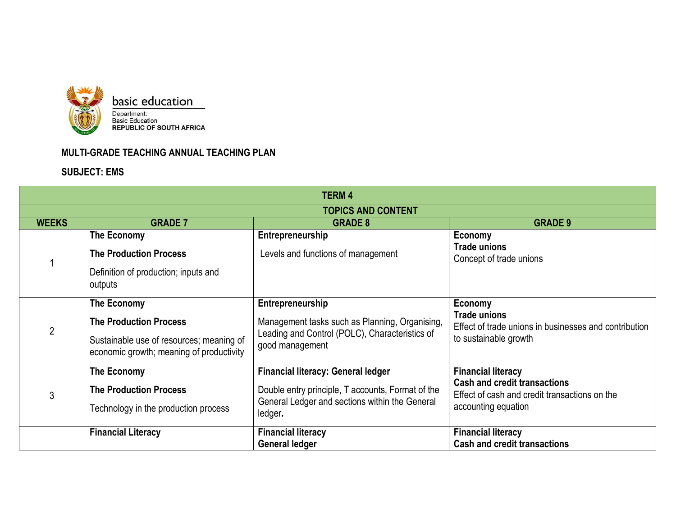

| <b>TERM4</b>   |                                                                                                                                      |                                                                                                                                                             |                                                                                                                                          |  |  |  |  |
|----------------|--------------------------------------------------------------------------------------------------------------------------------------|-------------------------------------------------------------------------------------------------------------------------------------------------------------|------------------------------------------------------------------------------------------------------------------------------------------|--|--|--|--|
|                |                                                                                                                                      | <b>TOPICS AND CONTENT</b>                                                                                                                                   |                                                                                                                                          |  |  |  |  |
| <b>WEEKS</b>   | <b>GRADE 7</b>                                                                                                                       | <b>GRADE 8</b>                                                                                                                                              | <b>GRADE 9</b>                                                                                                                           |  |  |  |  |
|                | The Economy<br><b>The Production Process</b><br>Definition of production; inputs and<br>outputs                                      | Entrepreneurship<br>Levels and functions of management                                                                                                      | Economy<br><b>Trade unions</b><br>Concept of trade unions                                                                                |  |  |  |  |
| $\overline{2}$ | The Economy<br><b>The Production Process</b><br>Sustainable use of resources; meaning of<br>economic growth; meaning of productivity | Entrepreneurship<br>Management tasks such as Planning, Organising,<br>Leading and Control (POLC), Characteristics of<br>good management                     | Economy<br><b>Trade unions</b><br>Effect of trade unions in businesses and contribution<br>to sustainable growth                         |  |  |  |  |
| 3              | <b>The Economy</b><br><b>The Production Process</b><br>Technology in the production process                                          | <b>Financial literacy: General ledger</b><br>Double entry principle, T accounts, Format of the<br>General Ledger and sections within the General<br>ledger. | <b>Financial literacy</b><br><b>Cash and credit transactions</b><br>Effect of cash and credit transactions on the<br>accounting equation |  |  |  |  |
|                | <b>Financial Literacy</b>                                                                                                            | <b>Financial literacy</b><br><b>General ledger</b>                                                                                                          | <b>Financial literacy</b><br><b>Cash and credit transactions</b>                                                                         |  |  |  |  |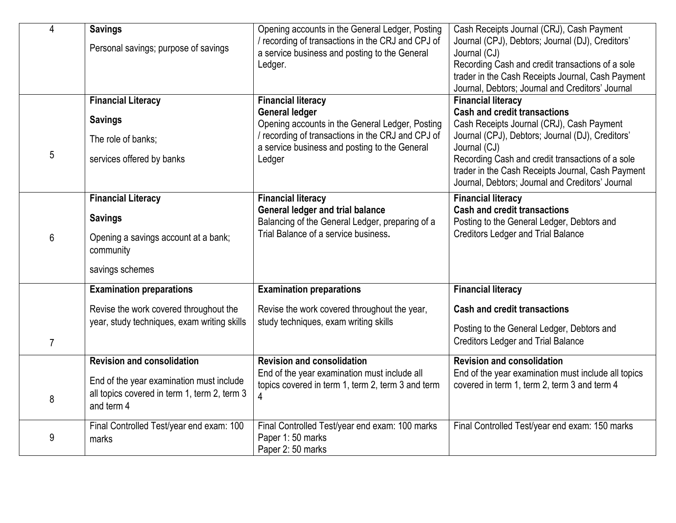| 4              | <b>Savings</b><br>Personal savings; purpose of savings                                                 | Opening accounts in the General Ledger, Posting<br>/ recording of transactions in the CRJ and CPJ of<br>a service business and posting to the General | Cash Receipts Journal (CRJ), Cash Payment<br>Journal (CPJ), Debtors; Journal (DJ), Creditors'<br>Journal (CJ)                                             |
|----------------|--------------------------------------------------------------------------------------------------------|-------------------------------------------------------------------------------------------------------------------------------------------------------|-----------------------------------------------------------------------------------------------------------------------------------------------------------|
|                |                                                                                                        | Ledger.                                                                                                                                               | Recording Cash and credit transactions of a sole<br>trader in the Cash Receipts Journal, Cash Payment<br>Journal, Debtors; Journal and Creditors' Journal |
|                | <b>Financial Literacy</b>                                                                              | <b>Financial literacy</b>                                                                                                                             | <b>Financial literacy</b>                                                                                                                                 |
|                | <b>Savings</b>                                                                                         | <b>General ledger</b><br>Opening accounts in the General Ledger, Posting                                                                              | <b>Cash and credit transactions</b><br>Cash Receipts Journal (CRJ), Cash Payment                                                                          |
|                | The role of banks;                                                                                     | / recording of transactions in the CRJ and CPJ of<br>a service business and posting to the General                                                    | Journal (CPJ), Debtors; Journal (DJ), Creditors'<br>Journal (CJ)                                                                                          |
| 5              | services offered by banks                                                                              | Ledger                                                                                                                                                | Recording Cash and credit transactions of a sole<br>trader in the Cash Receipts Journal, Cash Payment<br>Journal, Debtors; Journal and Creditors' Journal |
|                | <b>Financial Literacy</b>                                                                              | <b>Financial literacy</b>                                                                                                                             | <b>Financial literacy</b>                                                                                                                                 |
|                | <b>Savings</b>                                                                                         | <b>General ledger and trial balance</b><br>Balancing of the General Ledger, preparing of a                                                            | <b>Cash and credit transactions</b><br>Posting to the General Ledger, Debtors and                                                                         |
| 6              | Opening a savings account at a bank;<br>community                                                      | Trial Balance of a service business.                                                                                                                  | <b>Creditors Ledger and Trial Balance</b>                                                                                                                 |
|                | savings schemes                                                                                        |                                                                                                                                                       |                                                                                                                                                           |
|                | <b>Examination preparations</b>                                                                        | <b>Examination preparations</b>                                                                                                                       | <b>Financial literacy</b>                                                                                                                                 |
|                | Revise the work covered throughout the                                                                 | Revise the work covered throughout the year,                                                                                                          | <b>Cash and credit transactions</b>                                                                                                                       |
| $\overline{7}$ | year, study techniques, exam writing skills                                                            | study techniques, exam writing skills                                                                                                                 | Posting to the General Ledger, Debtors and<br><b>Creditors Ledger and Trial Balance</b>                                                                   |
|                | <b>Revision and consolidation</b>                                                                      | <b>Revision and consolidation</b>                                                                                                                     | <b>Revision and consolidation</b>                                                                                                                         |
| 8              | End of the year examination must include<br>all topics covered in term 1, term 2, term 3<br>and term 4 | End of the year examination must include all<br>topics covered in term 1, term 2, term 3 and term<br>4                                                | End of the year examination must include all topics<br>covered in term 1, term 2, term 3 and term 4                                                       |
| 9              | Final Controlled Test/year end exam: 100<br>marks                                                      | Final Controlled Test/year end exam: 100 marks<br>Paper 1:50 marks<br>Paper 2:50 marks                                                                | Final Controlled Test/year end exam: 150 marks                                                                                                            |